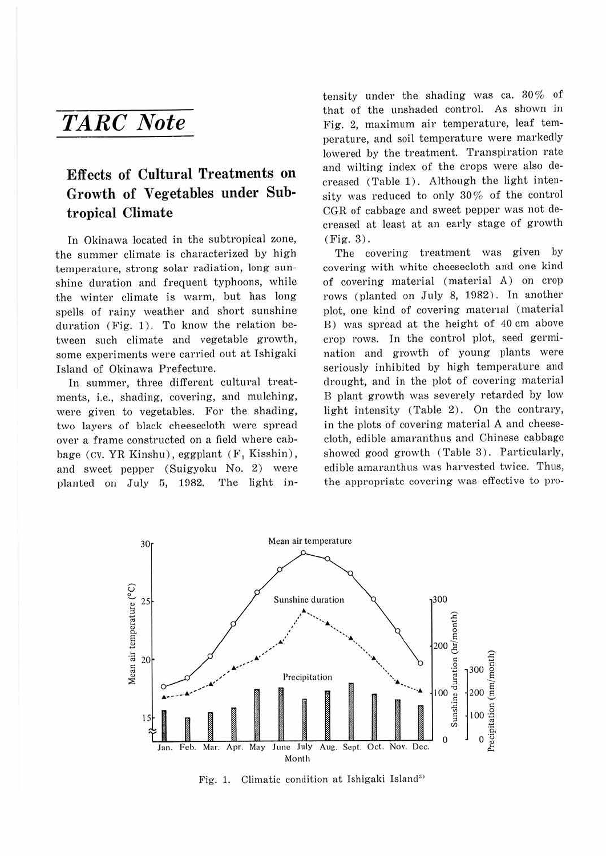## *TARC Note*

## **Effects of Cultural Treatments on Growth of Vegetables under Subtropical Climate**

In Okinawa located in the subtropical zone, the summer climate is characterized by high temperature, strong solar radiation, long sunshine duration and frequent typhoons, while the winter climate is warm, but has long spells of rainy weather and short sunshine duration (Fig. 1). To know the relation between such climate and vegetable growth, some experiments were carried out at Ishigaki Island of Okinawa Prefecture.

In summer, three different cultural treatments, i.e., shading, covering, and mulching, were given to vegetables. For the shading, two layers of black cheesecloth were spread over a frame constructed on a field where cabbage (CV. YR Kinshu), eggplant (F, Kisshin), and sweet pepper (Suigyoku No. 2) were planted on July 5, 1982. The light intensity under the shading was ca. 30% of that of the unshaded control. As shown in Fig. 2, maximum air temperature, leaf temperature, and soil temperature were markedly lowered by the treatment. Transpiration rate and wilting index of the crops were also decreased (Table 1). Although the light intensity was reduced to only 30% of the control CGR of cabbage and sweet pepper was not decreased at least at an early stage of growth (Fig. 3) .

The covering treatment was given by covering with white cheesecloth and one kind of covering material (material A) on crop rows (planted on July 8, 1982). In another plot, one kind of covering material (material B) was spread at the height of 40 cm above crop rows. In the control plot, seed germination and growth of young plants were seriously inhibited by high temperature and drought, and in the plot of covering material B plant growth was severely retarded by low light intensity (Table 2). On the contrary, in the plots of covering material A and cheesecloth, edible amaranthus and Chinese cabbage showed good growth (Table 3). Particularly, edible amaranthus was harvested twice. Thus, the appropriate covering was effective to pro-



Fig. 1. Climatic condition at Ishigaki Island<sup>3)</sup>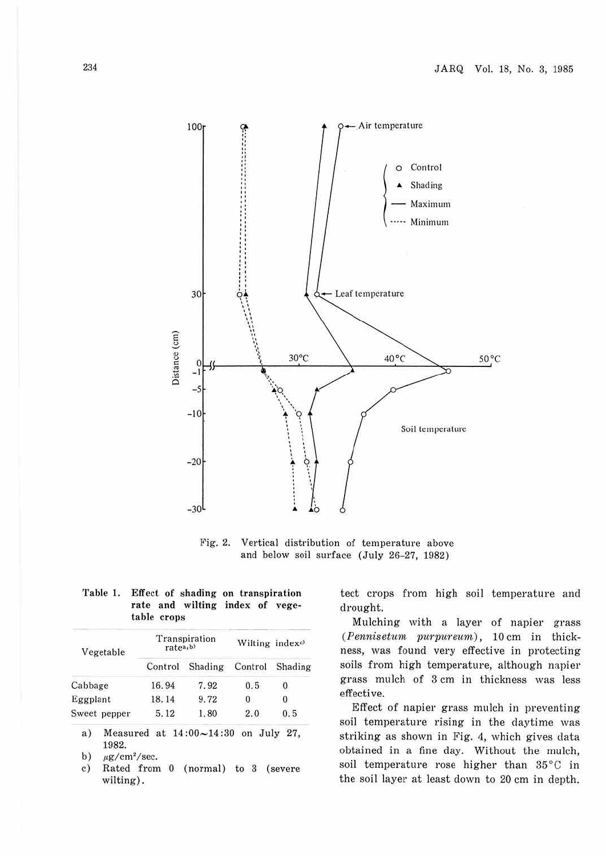

Fig. 2. Vertical distribution of temperature above and below soil surface (July 26-27, 1982)

|             | $\sim$<br>rate and wilting index of vege- |  |  |
|-------------|-------------------------------------------|--|--|
| table crops |                                           |  |  |
|             |                                           |  |  |

**Table 1. Effect of shading on transpiration** 

| Vegetable    | ratea,b) | Transpiration | Wilting indexc) |         |  |
|--------------|----------|---------------|-----------------|---------|--|
|              | Control  | Shading       | Control         | Shading |  |
| Cabbage      | 16.94    | 7.92          | 0.5             | 0       |  |
| Eggplant     | 18.14    | 9.72          | 0               | 0       |  |
| Sweet pepper | 5.12     | 1.80          | 2.0             | 0.5     |  |

a) Measured at  $14:00 \sim 14:30$  on July 27, 1982.

b)  $\mu$ g/cm<sup>2</sup>/sec.

c) Rated from O (normal) to 3 (severe wilting).

tect crops from high soil temperature and drought.

Mulching with a layer of napier grass  $(Pennisetum purpureum)$ , 10 cm in thickness, was found very effective in protecting soils from high temperature, although napier grass mulch of 3 cm in thickness was less effective.

Effect of napier grass mulch in preventing soil temperature rising in the daytime was striking as shown in Fig. 4, which gives data obtained in a fine day. Without the mulch, soil temperature rose higher than 35°C in the soil layer at least down to 20 cm in depth.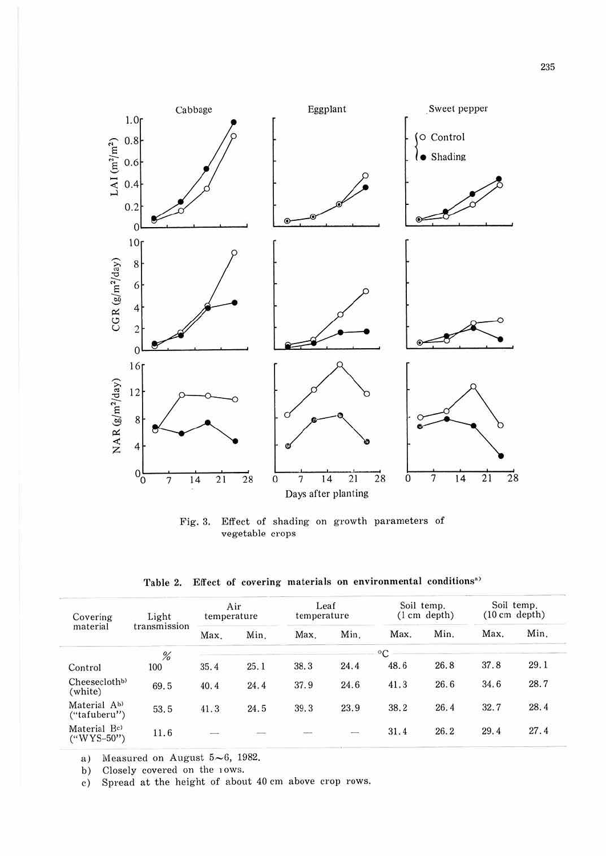

Fig. 3. Effect of shading on growth parameters of vegetable crops

Table 2. Effect of covering materials on environmental conditions<sup>a)</sup>

| Light<br>Covering<br>material<br>transmission            |      | Air<br>temperature |      | Leaf<br>temperature     |                          | Soil temp.<br>$(1 \text{ cm depth})$ |                          | Soil temp.<br>$(10 \text{ cm depth})$ |                      |
|----------------------------------------------------------|------|--------------------|------|-------------------------|--------------------------|--------------------------------------|--------------------------|---------------------------------------|----------------------|
|                                                          | Max. | Min.               | Max. | Min.                    | Max.                     | Min.                                 | Max.                     | Min.                                  |                      |
|                                                          | %    |                    |      |                         |                          | $\rm ^{o}C$                          |                          |                                       |                      |
| Control                                                  | 100  | 35.4               | 25.1 | 38.3                    | Charles Card<br>24.4     | 48.6                                 | 26.8                     | 37.8                                  | 29.1                 |
| Cheesecloth <sup>b)</sup><br>(white)                     | 69.5 | 40.4               | 24.4 | 37.9                    | 24.6                     | 41.3                                 | Statement of the<br>26.6 | 34.6                                  | 28.7                 |
| Material Ab)<br>("tafuberu")                             | 53.5 | 41.3               | 24.5 | 39.3                    | 23.9                     | 38.2                                 | 26.4                     | 32.7                                  | 28.4                 |
| Material Bc)<br>$(^{\prime\prime}WYS-50^{\prime\prime})$ | 11.6 | $\sim$<br>ਾ        |      | <b>Stationer</b><br>531 | $\overline{\phantom{a}}$ | 31.4                                 | 26.2                     | 29.4                                  | <b>SALES</b><br>27.4 |

Measured on August 5~6, 1982. a)

Closely covered on the 10Ws. b)

Spread at the height of about 40 cm above crop rows.  $c)$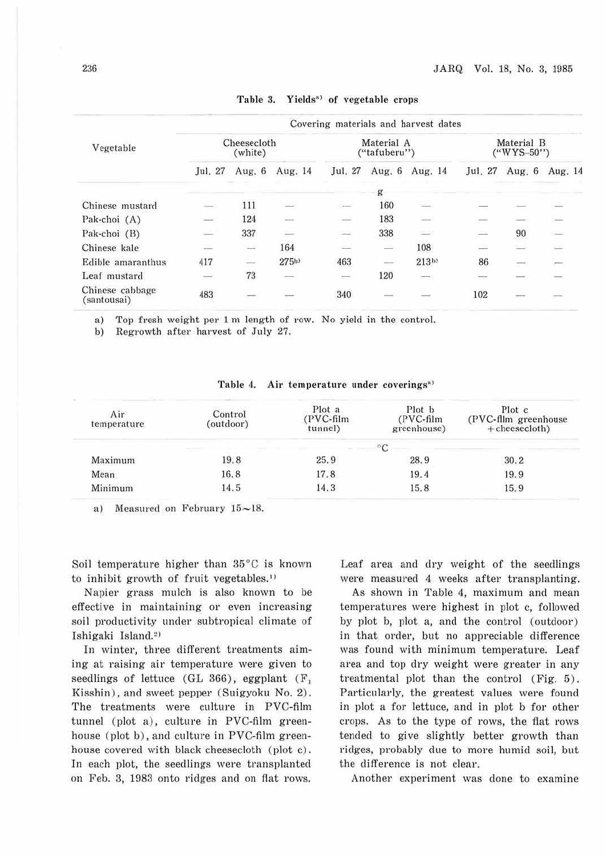|                                | Covering materials and harvest dates |                                    |                      |                            |                          |                          |                                                                                                                                                                                                                                                                                                                                                                                                                                                                                    |                          |         |  |
|--------------------------------|--------------------------------------|------------------------------------|----------------------|----------------------------|--------------------------|--------------------------|------------------------------------------------------------------------------------------------------------------------------------------------------------------------------------------------------------------------------------------------------------------------------------------------------------------------------------------------------------------------------------------------------------------------------------------------------------------------------------|--------------------------|---------|--|
| Vegetable                      | Cheesecloth<br>(white)               |                                    |                      | Material A<br>("tafuberu") |                          |                          | Material B<br>$($ "WYS-50")                                                                                                                                                                                                                                                                                                                                                                                                                                                        |                          |         |  |
|                                | Jul. 27                              | Aug. $6$                           | Aug. 14              | Jul. 27                    | Aug. 6                   | Aug. 14                  | Jul. 27                                                                                                                                                                                                                                                                                                                                                                                                                                                                            | Aug. $6$                 | Aug. 14 |  |
|                                |                                      |                                    |                      |                            |                          |                          |                                                                                                                                                                                                                                                                                                                                                                                                                                                                                    |                          |         |  |
| Chinese mustard                |                                      | 111                                |                      | $-1$                       | 160                      |                          |                                                                                                                                                                                                                                                                                                                                                                                                                                                                                    |                          |         |  |
| Pak-choi (A)                   | and S                                | 124                                | State                | $\sim$                     | 183                      |                          |                                                                                                                                                                                                                                                                                                                                                                                                                                                                                    |                          |         |  |
| Pak-choi (B)                   | SS)                                  | 337                                | $\frac{1}{2}$        | in 19                      | 338                      | S.                       | a de la                                                                                                                                                                                                                                                                                                                                                                                                                                                                            | 90                       |         |  |
| Chinese kale                   | and and                              | <b>Service</b>                     | 164                  | e                          | $\equiv$                 | 108                      | $\frac{1}{2} \left( \frac{1}{2} \right) \left( \frac{1}{2} \right) \left( \frac{1}{2} \right)$                                                                                                                                                                                                                                                                                                                                                                                     | a an                     | ು       |  |
| Edible amaranthus              | 417                                  | $\overline{\phantom{a}}$<br>15 - 2 | 275b                 | 463                        | $\overline{\phantom{a}}$ | 213 <sub>b</sub>         | 86                                                                                                                                                                                                                                                                                                                                                                                                                                                                                 | $\overline{\phantom{a}}$ | Ē       |  |
| Leaf mustard                   | ---                                  | 73                                 | $\frac{1}{2}$<br>- 7 | $\sim$                     | 120                      | $\overline{\phantom{a}}$ | $\frac{1}{2} \left( \frac{1}{2} \right) \left( \frac{1}{2} \right) \left( \frac{1}{2} \right) \left( \frac{1}{2} \right) \left( \frac{1}{2} \right) \left( \frac{1}{2} \right) \left( \frac{1}{2} \right) \left( \frac{1}{2} \right) \left( \frac{1}{2} \right) \left( \frac{1}{2} \right) \left( \frac{1}{2} \right) \left( \frac{1}{2} \right) \left( \frac{1}{2} \right) \left( \frac{1}{2} \right) \left( \frac{1}{2} \right) \left( \frac{1}{2} \right) \left( \frac$<br>E Fi |                          |         |  |
| Chinese cabbage<br>(santousai) | 483                                  |                                    |                      | 340                        |                          |                          | 102                                                                                                                                                                                                                                                                                                                                                                                                                                                                                |                          |         |  |

Table 3. Yields<sup>\*</sup> of vegetable crops

a) Top fresh weight per 1 m length of row. No yield in the control.

b) Regrowth after harvest of July 27.

| Air<br>temperature | Control<br>(outdoor) | Plot a<br>PVC-film<br>tunnel) | Plot b<br>(PVC-film<br>greenhouse) | Plot c<br>(PVC-film greenhouse)<br>$+$ cheesecloth) |
|--------------------|----------------------|-------------------------------|------------------------------------|-----------------------------------------------------|
|                    |                      |                               |                                    |                                                     |
| Maximum            | 19.8                 | 25.9                          | 28.9                               | 30.2                                                |
| Mean               | 16.8                 | 17.8                          | 19.4                               | 19.9                                                |
| Minimum            | 14.5                 | 14.3                          | 15.8                               | 15.9                                                |

| Table 4. | Air temperature under coverings <sup>n)</sup> |
|----------|-----------------------------------------------|
|----------|-----------------------------------------------|

a) Measured on February  $15{\sim}18$ .

Soil temperature higher than 35°C is known to inhibit growth of fruit vegetables.<sup>1)</sup>

Napier grass mulch is also known to be effective in maintaining or even increasing soil productivity under subtropical climate of Ishigaki Island.<sup>2)</sup>

In winter, three different treatments aiming at raising air temperature were given to seedlings of lettuce (GL 366), eggplant  $(F_1)$ Kisshin), and sweet pepper (Suigyoku No. 2). The treatments were culture in PVC-film tunnel (plot a), culture in PVC-film greenhouse (plot b), and culture in PVC-film greenhouse covered with black cheesecloth (plot c). In each plot, the seedlings were transplanted on Feb. 3, 1983 onto ridges and on flat rows.

Leaf area and dry weight of the seedlings were measured 4 weeks after transplanting.

As shown in Table 4, maximum and mean temperatures were highest in plot c, followed by plot b, plot a, and the control (outdoor) in that order, but no appreciable difference was found with minimum temperature. Leaf area and top dry weight were greater in any treatmental plot than the control (Fig. 5) . Particularly, the greatest values were found in plot a for lettuce, and in plot b for other crops. As to the type of rows, the flat rows tended to give slightly better growth than ridges, probably due to more humid soil, but the difference is not clear.

Another experiment was done to examine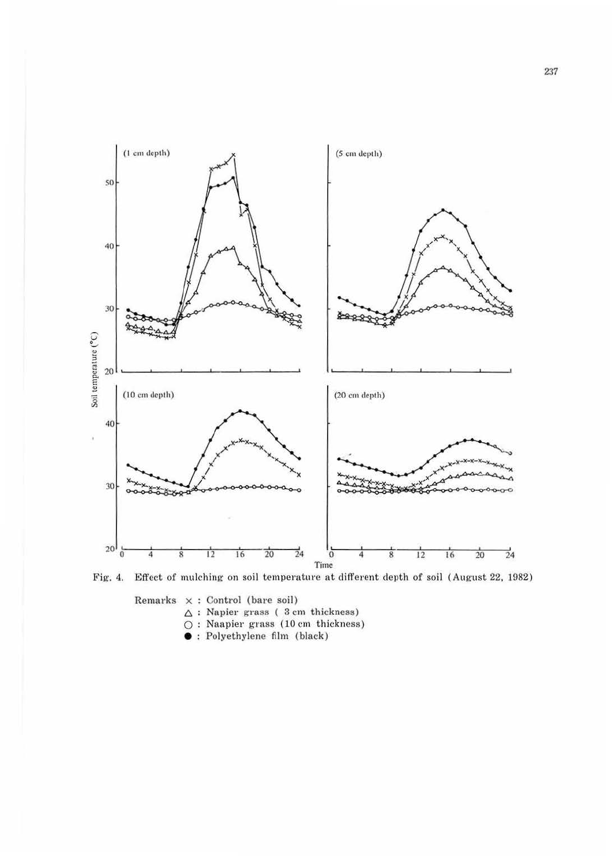

Fig. 4. Effect of mulching on soil temperature at different depth of soil (August 22, 1982)

Remarks  $\times$  : Control (bare soil)  $\Delta$ : Napier grass ( 3 cm thickness) O : Naapier grass (10 cm thickness)

• : Polyethylene fllm (black)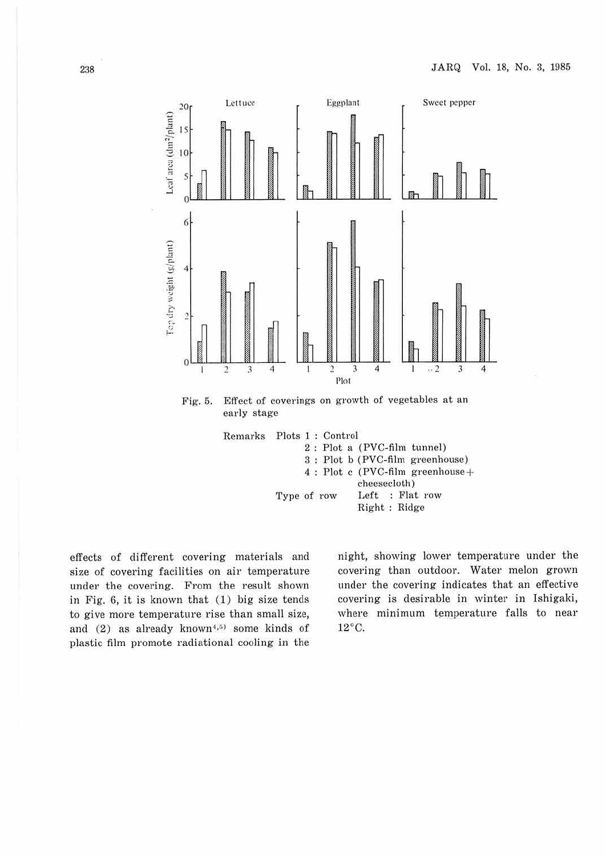

cheesecloth) Type of row Left : Flat row Right : Ridge

effects of different covering materials and size of covering facilities on air temperature under the covering. From the result shown in Fig.  $6$ , it is known that  $(1)$  big size tends to give more temperature rise than small size, and  $(2)$  as already known<sup>4,5)</sup> some kinds of plastic film promote radiational cooling in the night, showing lower temperature under the covering than outdoor. Water melon grown under the covering indicates that an effective covering is desirable in winter in Ishigaki, where minimum temperature falls to near 12°c.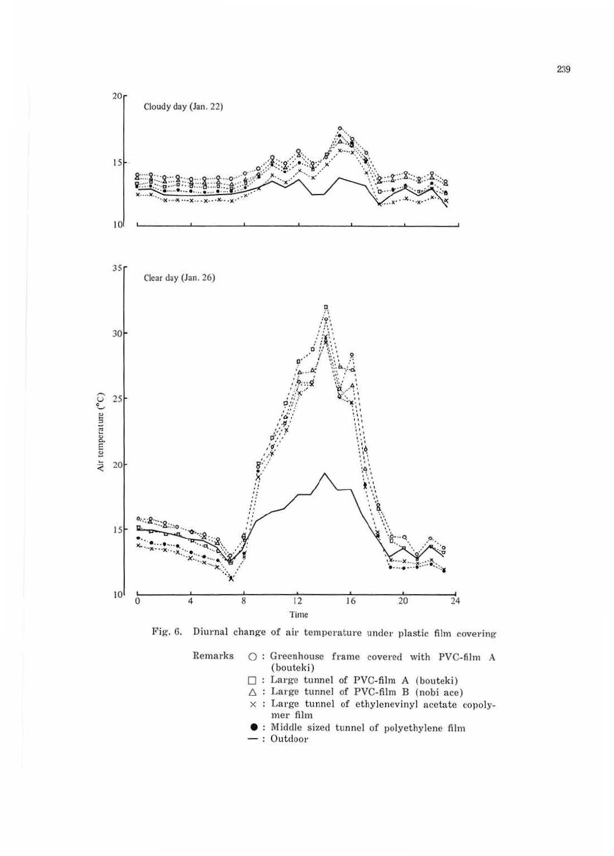



 $\bigcirc$  : Greenhouse frame covered with PVC-film A Remarks (bouteki)

- $\Box$  : Large tunnel of PVC-film A (bouteki)
- $\triangle$ : Large tunnel of PVC-film B (nobi ace)
- $\times$  : Large tunnel of ethylenevinyl acetate copolymer film
- : Middle sized tunnel of polyethylene film
- $-$ : Outdoor